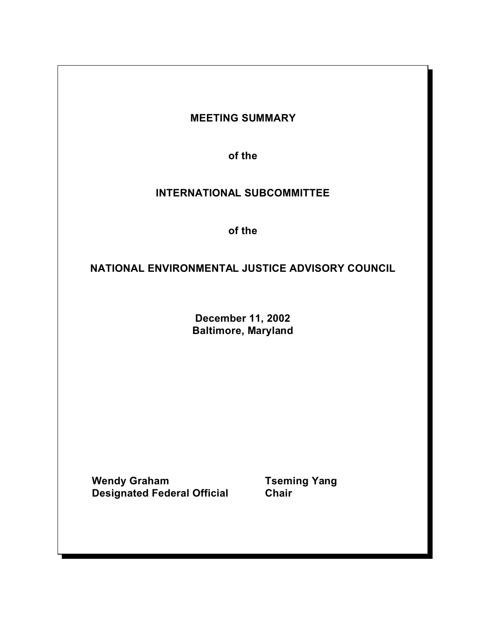# **MEETING SUMMARY**

**of the** 

# **INTERNATIONAL SUBCOMMITTEE**

**of the** 

# **NATIONAL ENVIRONMENTAL JUSTICE ADVISORY COUNCIL**

**December 11, 2002 Baltimore, Maryland** 

Wendy Graham **Tseming Yang Designated Federal Official Chair**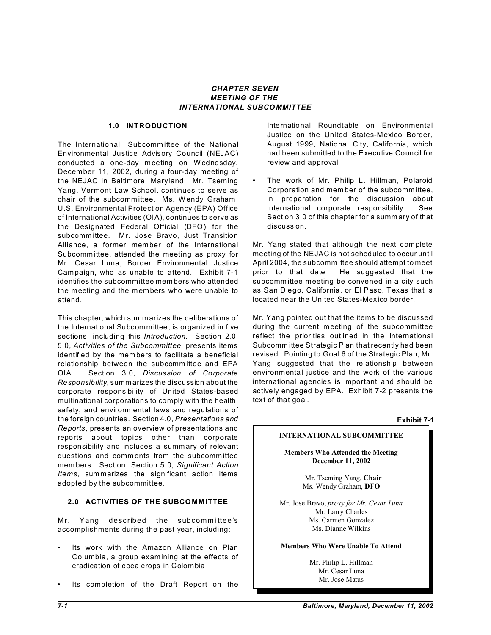#### *CHAPTER SEVEN MEETING OF THE INTERNATIONAL SUBCOMMITTEE*

#### **1.0 INTRODUCTION**

The International Subcomm ittee of the National Environmental Justice Advisory Council (NEJAC) conducted a one-day meeting on Wednesday, December 11, 2002, during a four-day meeting of the NEJAC in Baltimore, Maryland. Mr. Tseming Yang, Vermont Law School, continues to serve as chair of the subcommittee. Ms. Wendy Graham, U.S. Environmental Protection Agency (EPA) Office of International Activities (OIA), continues to serve as the Designated Federal Official (DFO) for the subcomm ittee. Mr. Jose Bravo, Just Transition Alliance, a former mem ber of the International Subcomm ittee, attended the meeting as proxy for Mr. Cesar Luna, Border Environmental Justice Campaign, who as unable to attend. Exhibit 7-1 identifies the subcommittee mem bers who attended the meeting and the members who were unable to attend.

This chapter, which summ arizes the deliberations of the International Subcom mittee, is organized in five sections, including this *Introduction*. Section 2.0, 5.0, *Activities of the Subcommittee*, presents items identified by the mem bers to facilitate a beneficial relationship between the subcomm ittee and EPA OIA. Section 3.0, *Discussion of Corporate Responsibility*, summ arizes the discussion about the corporate responsibility of United States-based multinational corporations to comply with the health, safety, and environmental laws and regulations of the foreign countries. Section 4.0, *Presentations and Reports*, presents an overview of presentations and reports about topics other than corporate responsibility and includes a summ ary of relevant questions and comm ents from the subcomm ittee mem bers. Section Section 5.0, *Significant Action Items*, sum marizes the significant action items adopted by the subcommittee.

### **2.0 ACTIVITIES OF THE SUBCOMM ITTEE**

Mr. Yang described the subcommittee's accomplishments during the past year, including:

- Its work with the Amazon Alliance on Plan Columbia, a group examining at the effects of eradication of coca crops in Colombia
- Its completion of the Draft Report on the

International Roundtable on Environmental Justice on the United States-Mexico Border, August 1999, National City, California, which had been submitted to the Executive Council for review and approval

The work of Mr. Philip L. Hillman, Polaroid Corporation and mem ber of the subcomm ittee, in preparation for the discussion about international corporate responsibility. See Section 3.0 of this chapter for a summ ary of that discussion.

Mr. Yang stated that although the next complete meeting of the NEJAC is not scheduled to occur until April 2004, the subcomm ittee should attempt to meet prior to that date He suggested that the subcomm ittee meeting be convened in a city such as San Diego, California, or El Paso, Texas that is located near the United States-Mexico border.

Mr. Yang pointed out that the items to be discussed during the current meeting of the subcommittee reflect the priorities outlined in the International Subcomm ittee Strategic Plan that recently had been revised. Pointing to Goal 6 of the Strategic Plan, Mr. Yang suggested that the relationship between environmental justice and the work of the various international agencies is important and should be actively engaged by EPA. Exhibit 7-2 presents the text of that goal.

### **Exhibit 7-1**

### **INTERNATIONAL SUBCOMMITTEE**

**Members Who Attended the Meeting December 11, 2002** 

> Mr. Tseming Yang, **Chair**  Ms. Wendy Graham, **DFO**

Mr. Jose Bravo, *proxy for Mr. Cesar Luna*  Mr. Larry Charles Ms. Carmen Gonzalez Ms. Dianne Wilkins

#### **Members Who Were Unable To Attend**

Mr. Philip L. Hillman Mr. Cesar Luna Mr. Jose Matus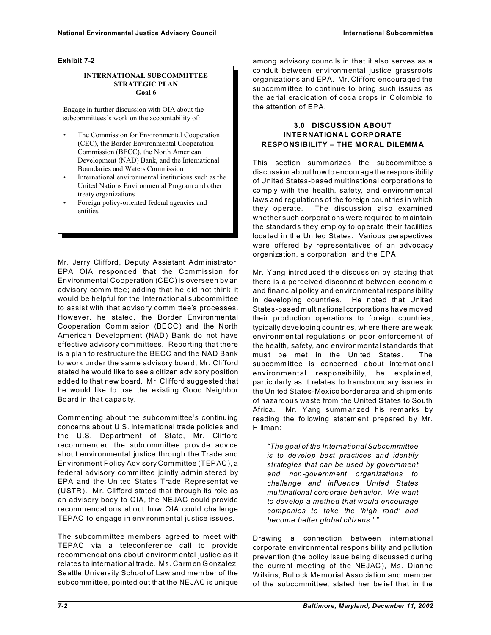#### **Exhibit 7-2**

#### **INTERNATIONAL SUBCOMMITTEE STRATEGIC PLAN Goal 6**

Engage in further discussion with OIA about the subcommittees's work on the accountability of:

- The Commission for Environmental Cooperation (CEC), the Border Environmental Cooperation Commission (BECC), the North American Development (NAD) Bank, and the International Boundaries and Waters Commission
- International environmental institutions such as the United Nations Environmental Program and other treaty organizations
- Foreign policy-oriented federal agencies and entities

Mr. Jerry Clifford, Deputy Assistant Administrator, EPA OIA responded that the Commission for Environmental Cooperation (CEC) is overseen by an advisory com mittee; adding that he did not think it would be helpful for the International subcomm ittee to assist with that advisory comm ittee's processes. However, he stated, the Border Environmental Cooperation Commission (BECC) and the North American Developm ent (NAD) Bank do not have effective advisory com mittees. Reporting that there is a plan to restructure the BECC and the NAD Bank to work under the same advisory board, Mr. Clifford stated he would like to see a citizen advisory position added to that new board. Mr. Clifford suggested that he would like to use the existing Good Neighbor Board in that capacity.

Commenting about the subcom mittee's continuing concerns about U.S. international trade policies and the U.S. Department of State, Mr. Clifford recommended the subcommittee provide advice about environmental justice through the Trade and Environment Policy Advisory Committee (TEPAC), a federal advisory comm ittee jointly administered by EPA and the United States Trade Representative (USTR). Mr. Clifford stated that through its role as an advisory body to OIA, the NEJAC could provide recomm endations about how OIA could challenge TEPAC to engage in environmental justice issues.

The subcom mittee members agreed to meet with TEPAC via a teleconference call to provide recomm endations about environm ental justice as it relates to international trade. Ms. Carmen Gonzalez, Seattle University School of Law and mem ber of the subcomm ittee, pointed out that the NEJAC is unique

among advisory councils in that it also serves as a conduit between environm ental justice grassroots organizations and EPA. Mr. Clifford encouraged the subcomm ittee to continue to bring such issues as the aerial eradication of coca crops in Colombia to the attention of EPA.

### **3.0 DISCUSSION ABOUT INTERNATIONAL CORPORATE RESPONSIBILITY – THE M ORAL DILEMMA**

This section sum marizes the subcom mittee's discussion about how to encourage the responsibility of United States-based multinational corporations to comply with the health, safety, and environmental laws and regulations of the foreign countries in which they operate. The discussion also examined whether such corporations were required to m aintain the standards they employ to operate their facilities located in the United States. Various perspectives were offered by representatives of an advocacy organization, a corporation, and the EPA.

Mr. Yang introduced the discussion by stating that there is a perceived disconnect between economic and financial policy and environmental responsibility in developing countries. He noted that United States-based multinational corporations have moved their production operations to foreign countries, typically developing countries, where there are weak environmental regulations or poor enforcement of the health, safety, and environmental standards that must be met in the United States. The subcomm ittee is concerned about international environmental responsibility, he explained, particularly as it relates to transboundary issues in the United States-Mexico border area and shipm ents of hazardous waste from the United States to South Africa. Mr. Yang summ arized his remarks by reading the following statement prepared by Mr. Hillman:

*"The goal of the International Subcommittee is to develop best practices and identify strategies that can be used by government and non-government organizations to challenge and influence United States multinational corporate behavior. We want to develop a method that would encourage companies to take the 'high road' and become better global citizens.' "* 

Drawing a connection between international corporate environmental responsibility and pollution prevention (the policy issue being discussed during the current meeting of the NEJAC), Ms. Dianne W ilkins, Bullock Mem orial Association and mem ber of the subcommittee, stated her belief that in the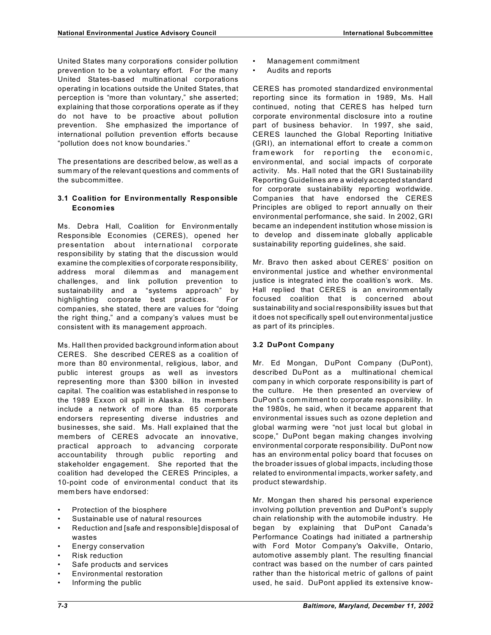United States many corporations consider pollution prevention to be a voluntary effort. For the many United States-based multinational corporations operating in locations outside the United States, that perception is "more than voluntary," she asserted; explaining that those corporations operate as if they do not have to be proactive about pollution prevention. She emphasized the importance of international pollution prevention efforts because "pollution does not know boundaries."

The presentations are described below, as well as a summary of the relevant questions and comm ents of the subcommittee.

### **3.1 Coalition for Environmentally Responsible Economies**

Ms. Debra Hall, Coalition for Environm entally Responsible Economies (CERES), opened her presentation about international corporate responsibility by stating that the discussion would examine the complexities of corporate responsibility, address moral dilemm as and managem ent challenges, and link pollution prevention to sustainability and a "systems approach" by highlighting corporate best practices. For companies, she stated, there are values for "doing the right thing," and a company's values must be consistent with its management approach.

Ms. Hall then provided background inform ation about CERES. She described CERES as a coalition of more than 80 environmental, religious, labor, and public interest groups as well as investors representing more than \$300 billion in invested capital. The coalition was established in response to the 1989 Exxon oil spill in Alaska. Its members include a network of more than 65 corporate endorsers representing diverse industries and businesses, she said. Ms. Hall explained that the members of CERES advocate an innovative, practical approach to advancing corporate accountability through public reporting and stakeholder engagement. She reported that the coalition had developed the CERES Principles, a 10-point code of environmental conduct that its mem bers have endorsed:

- Protection of the biosphere
- Sustainable use of natural resources
- Reduction and [safe and responsible] disposal of wastes
- Energy conservation
- **Risk reduction**
- Safe products and services
- Environmental restoration
- Informing the public
- Management commitment
- Audits and reports

CERES has promoted standardized environmental reporting since its formation in 1989, Ms. Hall continued, noting that CERES has helped turn corporate environmental disclosure into a routine part of business behavior. In 1997, she said, CERES launched the Global Reporting Initiative (GRI), an international effort to create a comm on framework for reporting the economic, environm ental, and social impacts of corporate activity. Ms. Hall noted that the GRI Sustainability Reporting Guidelines are a widely accepted standard for corporate sustainability reporting worldwide. Companies that have endorsed the CERES Principles are obliged to report annually on their environmental performance, she said. In 2002, GRI became an independent institution whose mission is to develop and dissem inate globally applicable sustainability reporting guidelines, she said.

Mr. Bravo then asked about CERES' position on environmental justice and whether environmental justice is integrated into the coalition's work. Ms. Hall replied that CERES is an environm entally focused coalition that is concerned about sustainability and social responsibility issues but that it does not specifically spell out environmental justice as part of its principles.

# **3.2 DuPont Company**

Mr. Ed Mongan, DuPont Company (DuPont), described DuPont as a multinational chem ical com pany in which corporate responsibility is part of the culture. He then presented an overview of DuPont's com mitment to corporate responsibility. In the 1980s, he said, when it became apparent that environmental issues such as ozone depletion and global warming were "not just local but global in scope," DuPont began making changes involving environmental corporate responsibility. DuPont now has an environm ental policy board that focuses on the broader issues of global impacts, including those related to environmental impacts, worker safety, and product stewardship.

Mr. Mongan then shared his personal experience involving pollution prevention and DuPont's supply chain relationship with the automobile industry. He began by explaining that DuPont Canada's Performance Coatings had initiated a partnership with Ford Motor Company's Oakville, Ontario, automotive assembly plant. The resulting financial contract was based on the number of cars painted rather than the historical metric of gallons of paint used, he said. DuPont applied its extensive know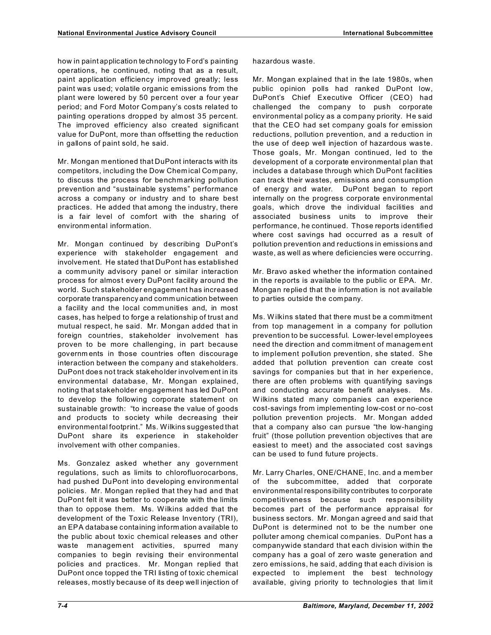how in paint application technology to Ford's painting operations, he continued, noting that as a result, paint application efficiency improved greatly; less paint was used; volatile organic emissions from the plant were lowered by 50 percent over a four year period; and Ford Motor Company's costs related to painting operations dropped by alm ost 35 percent. The improved efficiency also created significant value for DuPont, more than offsetting the reduction in gallons of paint sold, he said.

Mr. Mongan mentioned that DuPont interacts with its competitors, including the Dow Chemical Company, to discuss the process for benchmarking pollution prevention and "sustainable systems" performance across a company or industry and to share best practices. He added that among the industry, there is a fair level of comfort with the sharing of environm ental inform ation.

Mr. Mongan continued by describing DuPont's experience with stakeholder engagement and involvement. He stated that DuPont has established a community advisory panel or similar interaction process for almost every DuPont facility around the world. Such stakeholder engagement has increased corporate transparency and comm unication between a facility and the local comm unities and, in most cases, has helped to forge a relationship of trust and mutual respect, he said. Mr. Mongan added that in foreign countries, stakeholder involvement has proven to be more challenging, in part because governm ents in those countries often discourage interaction between the company and stakeholders. DuPont does not track stakeholder involvem ent in its environmental database, Mr. Mongan explained, noting that stakeholder engagement has led DuPont to develop the following corporate statement on sustainable growth: "to increase the value of goods and products to society while decreasing their environmental footprint." Ms. Wilkins suggested that DuPont share its experience in stakeholder involvement with other companies.

Ms. Gonzalez asked whether any government regulations, such as limits to chlorofluorocarbons, had pushed DuPont into developing environmental policies. Mr. Mongan replied that they had and that DuPont felt it was better to cooperate with the limits than to oppose them. Ms. Wilkins added that the development of the Toxic Release Inventory (TRI), an EPA database containing information available to the public about toxic chemical releases and other waste managem ent activities, spurred many companies to begin revising their environmental policies and practices. Mr. Mongan replied that DuPont once topped the TRI listing of toxic chemical releases, mostly because of its deep well injection of Mr. Mongan explained that in the late 1980s, when public opinion polls had ranked DuPont low, DuPont's Chief Executive Officer (CEO) had challenged the company to push corporate environmental policy as a company priority. He said that the CEO had set company goals for emission reductions, pollution prevention, and a reduction in the use of deep well injection of hazardous was te. Those goals, Mr. Mongan continued, led to the development of a corporate environmental plan that includes a database through which DuPont facilities can track their wastes, emissions and consumption of energy and water. DuPont began to report internally on the progress corporate environmental goals, which drove the individual facilities and associated business units to im prove their performance, he continued. Those reports identified where cost savings had occurred as a result of pollution prevention and reductions in emissions and waste, as well as where deficiencies were occurring.

Mr. Bravo asked whether the information contained in the reports is available to the public or EPA. Mr. Mongan replied that the information is not available to parties outside the com pany.

Ms. W ilkins stated that there must be a comm itment from top management in a company for pollution prevention to be successful. Lower-level employees need the direction and comm itment of managem ent to implement pollution prevention, she stated. She added that pollution prevention can create cost savings for companies but that in her experience, there are often problems with quantifying savings and conducting accurate benefit analyses. Ms. W ilkins stated many companies can experience cost-savings from implementing low-cost or no-cost pollution prevention projects. Mr. Mongan added that a company also can pursue "the low-hanging fruit" (those pollution prevention objectives that are easiest to meet) and the associated cost savings can be used to fund future projects.

Mr. Larry Charles, ONE/CHANE, Inc. and a mem ber of the subcommittee, added that corporate environmental responsibility contributes to corporate competitiveness because such responsibility becomes part of the performance appraisal for business sectors. Mr. Mongan agreed and said that DuPont is determined not to be the number one polluter among chemical companies. DuPont has a companywide standard that each division within the company has a goal of zero waste generation and zero emissions, he said, adding that each division is expected to implement the best technology available, giving priority to technologies that lim it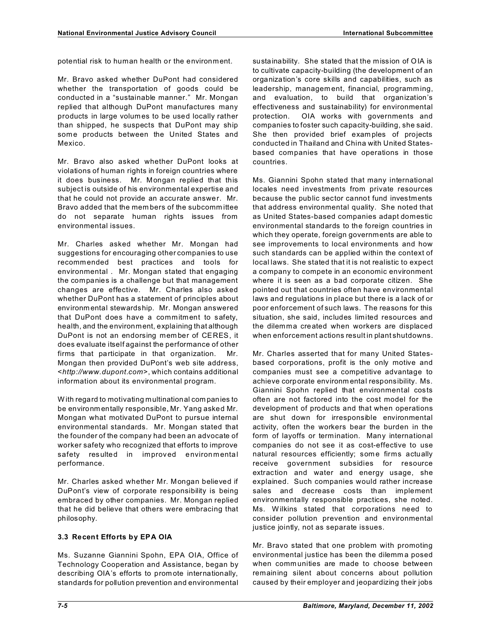potential risk to human health or the environment.

Mr. Bravo asked whether DuPont had considered whether the transportation of goods could be conducted in a "sustainable manner." Mr. Mongan replied that although DuPont manufactures many products in large volumes to be used locally rather than shipped, he suspects that DuPont may ship some products between the United States and Mexico.

Mr. Bravo also asked whether DuPont looks at violations of human rights in foreign countries where it does business. Mr. Mongan replied that this subject is outside of his environmental expertise and that he could not provide an accurate answer. Mr. Bravo added that the mem bers of the subcomm ittee do not separate human rights issues from environmental issues.

Mr. Charles asked whether Mr. Mongan had suggestions for encouraging other companies to use recomm ended best practices and tools for environmental . Mr. Mongan stated that engaging the companies is a challenge but that management changes are effective. Mr. Charles also asked whether DuPont has a statement of principles about environm ental stewardship. Mr. Mongan answered that DuPont does have a commitment to safety, health, and the environment, explaining that although DuPont is not an endorsing mem ber of CERES, it does evaluate itself against the performance of other firms that participate in that organization. Mr. Mongan then provided DuPont's web site address, <*http://www.dupont.com*>, which contains additional information about its environmental program.

W ith regard to motivating multinational com panies to be environm entally responsible, Mr. Yang asked Mr. Mongan what motivated DuPont to pursue internal environmental standards. Mr. Mongan stated that the founder of the company had been an advocate of worker safety who recognized that efforts to improve safety resulted in improved environmental performance.

Mr. Charles asked whether Mr. Mongan believed if DuPont's view of corporate responsibility is being embraced by other companies. Mr. Mongan replied that he did believe that others were embracing that philosophy.

### **3.3 Recent Efforts by EPA OIA**

Ms. Suzanne Giannini Spohn, EPA OIA, Office of Technology Cooperation and Assistance, began by describing OIA's efforts to prom ote internationally, standards for pollution prevention and environmental sustainability. She stated that the mission of OIA is to cultivate capacity-building (the development of an organization's core skills and capabilities, such as leadership, management, financial, programming, and evaluation, to build that organization's effectiveness and sustainability) for environmental protection. OIA works with governments and companies to foster such capacity-building, she said. She then provided brief exam ples of projects conducted in Thailand and China with United Statesbased companies that have operations in those countries.

Ms. Giannini Spohn stated that many international locales need investments from private resources because the public sector cannot fund investments that address environmental quality. She noted that as United States-based companies adapt domestic environmental standards to the foreign countries in which they operate, foreign governments are able to see improvements to local environments and how such standards can be applied within the context of local laws. She stated that it is not realistic to expect a company to compete in an economic environment where it is seen as a bad corporate citizen. She pointed out that countries often have environmental laws and regulations in place but there is a lack of or poor enforcement of such laws. The reasons for this situation, she said, includes limited resources and the dilemma created when workers are displaced when enforcement actions result in plant shutdowns.

Mr. Charles asserted that for many United Statesbased corporations, profit is the only motive and companies must see a competitive advantage to achieve corporate environm ental responsibility. Ms. Giannini Spohn replied that environmental costs often are not factored into the cost model for the development of products and that when operations are shut down for irresponsible environmental activity, often the workers bear the burden in the form of layoffs or termination. Many international companies do not see it as cost-effective to use natural resources efficiently; some firms actually receive government subsidies for resource extraction and water and energy usage, she explained. Such companies would rather increase sales and decrease costs than implement environmentally responsible practices, she noted. Ms. W ilkins stated that corporations need to consider pollution prevention and environmental justice jointly, not as separate issues.

Mr. Bravo stated that one problem with promoting environmental justice has been the dilemm a posed when comm unities are made to choose between remaining silent about concerns about pollution caused by their employer and jeopardizing their jobs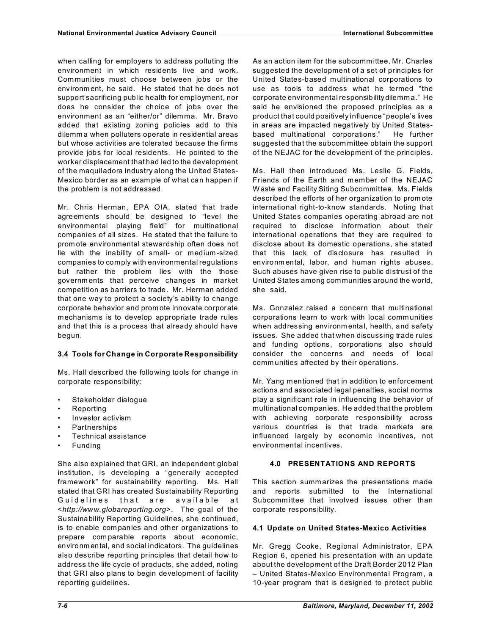when calling for employers to address polluting the environment in which residents live and work. Communities must choose between jobs or the environm ent, he said. He stated that he does not support sacrificing public health for employment, nor does he consider the choice of jobs over the environment as an "either/or" dilemma. Mr. Bravo added that existing zoning policies add to this dilemm a when polluters operate in residential areas but whose activities are tolerated because the firms provide jobs for local residents. He pointed to the worker displacement that had led to the development of the maquiladora industry along the United States-Mexico border as an exam ple of what can happen if the problem is not addressed.

Mr. Chris Herman, EPA OIA, stated that trade agreements should be designed to "level the environmental playing field" for multinational companies of all sizes. He stated that the failure to prom ote environmental stewardship often does not lie with the inability of small- or medium-sized companies to comply with environmental regulations but rather the problem lies with the those governm ents that perceive changes in market competition as barriers to trade. Mr. Herman added that one way to protect a society's ability to change corporate behavior and prom ote innovate corporate mechanisms is to develop appropriate trade rules and that this is a process that already should have begun.

### **3.4 Tools for Change in Corporate Responsibility**

Ms. Hall described the following tools for change in corporate responsibility:

- Stakeholder dialogue
- Reporting
- Investor activism
- Partnerships
- Technical assistance
- Funding

She also explained that GRI, an independent global institution, is developing a "generally accepted framework" for sustainability reporting. Ms. Hall stated that GRI has created Sustainability Reporting Guidelines that are available at <*http://www.globareporting.org*>. The goal of the Sustainability Reporting Guidelines, she continued, is to enable com panies and other organizations to prepare com parable reports about economic, environm ental, and social indicators. The guidelines also describe reporting principles that detail how to address the life cycle of products, she added, noting that GRI also plans to begin development of facility reporting guidelines.

As an action item for the subcommittee, Mr. Charles suggested the development of a set of principles for United States-based multinational corporations to use as tools to address what he termed "the corporate environmental responsibilitydilemm a." He said he envisioned the proposed principles as a product that could positively influence "people's lives in areas are impacted negatively by United Statesbased multinational corporations." He further suggested that the subcom mittee obtain the support of the NEJAC for the development of the principles.

Ms. Hall then introduced Ms. Leslie G. Fields, Friends of the Earth and member of the NEJAC W aste and Facility Siting Subcommittee. Ms. Fields described the efforts of her organization to prom ote international right-to-know standards. Noting that United States companies operating abroad are not required to disclose information about their international operations that they are required to disclose about its domestic operations, she stated that this lack of disclosure has resulted in environm ental, labor, and human rights abuses. Such abuses have given rise to public distrust of the United States among com munities around the world, she said.

Ms. Gonzalez raised a concern that multinational corporations learn to work with local comm unities when addressing environm ental, health, and safety issues. She added that when discussing trade rules and funding options, corporations also should consider the concerns and needs of local comm unities affected by their operations.

Mr. Yang mentioned that in addition to enforcement actions and associated legal penalties, social norms play a significant role in influencing the behavior of multinational companies. He added that the problem with achieving corporate responsibility across various countries is that trade markets are influenced largely by economic incentives, not environmental incentives.

# **4.0 PRESENTATIONS AND REPORTS**

This section summ arizes the presentations made and reports submitted to the International Subcomm ittee that involved issues other than corporate responsibility.

# **4.1 Update on United States-Mexico Activities**

Mr. Gregg Cooke, Regional Administrator, EPA Region 6, opened his presentation with an update about the development of the Draft Border 2012 Plan – United States-Mexico Environmental Program , a 10-year program that is designed to protect public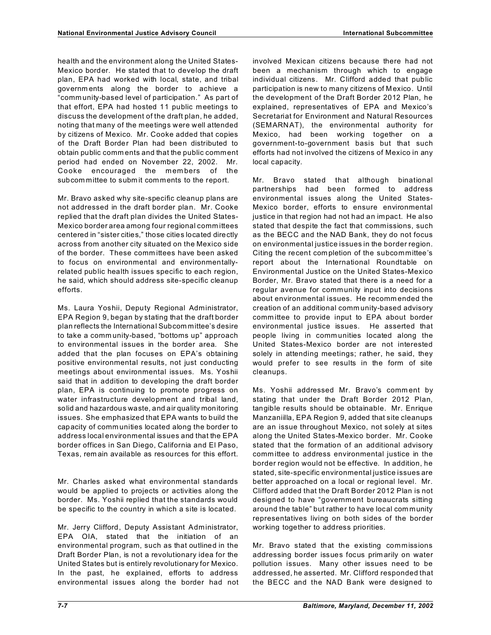health and the environment along the United States-Mexico border. He stated that to develop the draft plan, EPA had worked with local, state, and tribal governm ents along the border to achieve a "comm unity-based level of participation." As part of that effort, EPA had hosted 11 public meetings to discuss the development of the draft plan, he added, noting that many of the meetings were well attended by citizens of Mexico. Mr. Cooke added that copies of the Draft Border Plan had been distributed to obtain public comm ents and that the public comment period had ended on November 22, 2002. Mr. Cooke encouraged the mem bers of the subcom mittee to subm it com ments to the report.

Mr. Bravo asked why site-specific cleanup plans are not addressed in the draft border plan. Mr. Cooke replied that the draft plan divides the United States-Mexico border area among four regional comm ittees centered in "sister cities," those cities located directly across from another city situated on the Mexico side of the border. These comm ittees have been asked to focus on environmental and environmentallyrelated public health issues specific to each region, he said, which should address site-specific cleanup efforts.

Ms. Laura Yoshii, Deputy Regional Administrator, EPA Region 9, began by stating that the draft border plan reflects the International Subcom mittee's desire to take a comm unity-based, "bottoms up" approach to environmental issues in the border area. She added that the plan focuses on EPA's obtaining positive environmental results, not just conducting meetings about environmental issues. Ms. Yoshii said that in addition to developing the draft border plan, EPA is continuing to promote progress on water infrastructure development and tribal land, solid and hazardous waste, and air quality monitoring issues. She emphasized that EPA wants to build the capacity of comm unities located along the border to address local environmental issues and that the EPA border offices in San Diego, California and El Paso, Texas, rem ain available as resources for this effort.

Mr. Charles asked what environmental standards would be applied to projects or activities along the border. Ms. Yoshii replied that the standards would be specific to the country in which a site is located.

Mr. Jerry Clifford, Deputy Assistant Administrator, EPA OIA, stated that the initiation of an environmental program, such as that outlined in the Draft Border Plan, is not a revolutionary idea for the United States but is entirely revolutionary for Mexico. In the past, he explained, efforts to address environmental issues along the border had not involved Mexican citizens because there had not been a mechanism through which to engage individual citizens. Mr. Clifford added that public participation is new to many citizens of Mexico. Until the development of the Draft Border 2012 Plan, he explained, representatives of EPA and Mexico's Secretariat for Environment and Natural Resources (SEMARNAT), the environmental authority for Mexico, had been working together on a government-to-government basis but that such efforts had not involved the citizens of Mexico in any local capacity.

Mr. Bravo stated that although binational partnerships had been formed to address environmental issues along the United States-Mexico border, efforts to ensure environmental justice in that region had not had an impact. He also stated that despite the fact that commissions, such as the BECC and the NAD Bank, they do not focus on environmental justice issues in the border region. Citing the recent com pletion of the subcommittee's report about the International Roundtable on Environmental Justice on the United States-Mexico Border, Mr. Bravo stated that there is a need for a regular avenue for comm unity input into decisions about environmental issues. He recomm ended the creation of an additional comm unity-based advisory comm ittee to provide input to EPA about border environmental justice issues. He asserted that people living in comm unities located along the United States-Mexico border are not interested solely in attending meetings; rather, he said, they would prefer to see results in the form of site cleanups.

Ms. Yoshii addressed Mr. Bravo's comm ent by stating that under the Draft Border 2012 Plan, tangible results should be obtainable. Mr. Enrique Manzaniilla, EPA Region 9, added that site cleanups are an issue throughout Mexico, not solely at sites along the United States-Mexico border. Mr. Cooke stated that the formation of an additional advisory comm ittee to address environmental justice in the border region would not be effective. In addition, he stated, site-specific environmental justice issues are better approached on a local or regional level. Mr. Clifford added that the Draft Border 2012 Plan is not designed to have "government bureaucrats sitting around the table" but rather to have local com munity representatives living on both sides of the border working together to address priorities.

Mr. Bravo stated that the existing commissions addressing border issues focus prim arily on water pollution issues. Many other issues need to be addressed, he asserted. Mr. Clifford responded that the BECC and the NAD Bank were designed to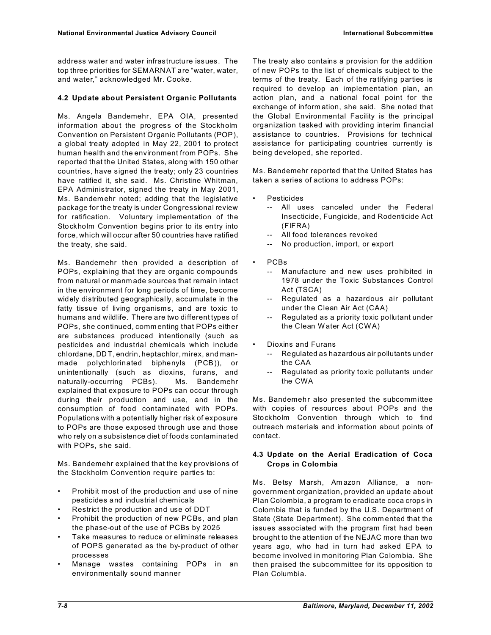address water and water infrastructure issues. The top three priorities for SEMARNAT are "water, water, and water," acknowledged Mr. Cooke.

## **4.2 Update about Persistent Organic Pollutants**

Ms. Angela Bandemehr, EPA OIA, presented information about the progress of the Stockholm Convention on Persistent Organic Pollutants (POP), a global treaty adopted in May 22, 2001 to protect human health and the environment from POPs. She reported that the United States, along with 150 other countries, have signed the treaty; only 23 countries have ratified it, she said. Ms. Christine Whitman, EPA Administrator, signed the treaty in May 2001, Ms. Bandemehr noted; adding that the legislative package for the treaty is under Congressional review for ratification. Voluntary implementation of the Stockholm Convention begins prior to its entry into force, which will occur after 50 countries have ratified the treaty, she said.

Ms. Bandemehr then provided a description of POPs, explaining that they are organic compounds from natural or manm ade sources that remain intact in the environment for long periods of time, become widely distributed geographically, accumulate in the fatty tissue of living organisms, and are toxic to humans and wildlife. There are two different types of POPs, she continued, comm enting that POPs either are substances produced intentionally (such as pesticides and industrial chemicals which include chlordane, DDT, endrin, heptachlor, mirex, and manmade polychlorinated biphenyls (PCB)), or unintentionally (such as dioxins, furans, and naturally-occurring PCBs). Ms. Bandemehr explained that exposure to POPs can occur through during their production and use, and in the consumption of food contaminated with POPs. Populations with a potentially higher risk of exposure to POPs are those exposed through use and those who rely on a subsistence diet of foods contaminated with POPs, she said.

Ms. Bandemehr explained that the key provisions of the Stockholm Convention require parties to:

- Prohibit most of the production and use of nine pesticides and industrial chem icals
- Restrict the production and use of DDT
- Prohibit the production of new PCBs, and plan the phase-out of the use of PCBs by 2025
- Take measures to reduce or eliminate releases of POPS generated as the by-product of other processes
- Manage wastes containing POPs in an environmentally sound manner

The treaty also contains a provision for the addition of new POPs to the list of chemicals subject to the terms of the treaty. Each of the ratifying parties is required to develop an implementation plan, an action plan, and a national focal point for the exchange of inform ation, she said. She noted that the Global Environmental Facility is the principal organization tasked with providing interim financial assistance to countries. Provisions for technical assistance for participating countries currently is being developed, she reported.

Ms. Bandemehr reported that the United States has taken a series of actions to address POPs:

- **Pesticides** 
	- -- All uses canceled under the Federal Insecticide, Fungicide, and Rodenticide Act (FIFRA)
	- -- All food tolerances revoked
	- -- No production, import, or export
- PCB<sub>s</sub>
	- -- Manufacture and new uses prohibited in 1978 under the Toxic Substances Control Act (TSCA)
	- -- Regulated as a hazardous air pollutant under the Clean Air Act (CAA)
	- -- Regulated as a priority toxic pollutant under the Clean Water Act (CWA)
- Dioxins and Furans
	- -- Regulated as hazardous air pollutants under the CAA
	- Regulated as priority toxic pollutants under the CWA

Ms. Bandemehr also presented the subcomm ittee with copies of resources about POPs and the Stockholm Convention through which to find outreach materials and information about points of contact.

## **4.3 Update on the Aerial Eradication of Coca Crops in Colombia**

Ms. Betsy Marsh, Am azon Alliance, a nongovernment organization, provided an update about Plan Colombia, a program to eradicate coca crops in Colombia that is funded by the U.S. Department of State (State Department). She comm ented that the issues associated with the program first had been brought to the attention of the NEJAC more than two years ago, who had in turn had asked EPA to become involved in monitoring Plan Colombia. She then praised the subcommittee for its opposition to Plan Columbia.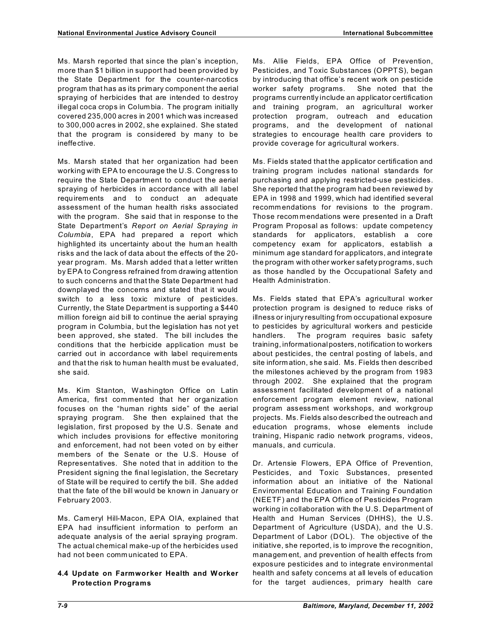Ms. Marsh reported that since the plan's inception, more than \$1 billion in support had been provided by the State Department for the counter-narcotics program that has as its primary component the aerial spraying of herbicides that are intended to destroy illegal coca crops in Colum bia. The program initially covered 235,000 acres in 2001 which was increased to 300,000 acres in 2002, she explained. She stated that the program is considered by many to be ineffective.

Ms. Marsh stated that her organization had been working with EPA to encourage the U.S. Congress to require the State Department to conduct the aerial spraying of herbicides in accordance with all label requirements and to conduct an adequate assessment of the human health risks associated with the program. She said that in response to the State Department's *Report on Aerial Spraying in Columbia*, EPA had prepared a report which highlighted its uncertainty about the hum an health risks and the lack of data about the effects of the 20 year program. Ms. Marsh added that a letter written by EPA to Congress refrained from drawing attention to such concerns and that the State Department had downplayed the concerns and stated that it would switch to a less toxic mixture of pesticides. Currently, the State Department is supporting a \$440 million foreign aid bill to continue the aerial spraying program in Columbia, but the legislation has not yet been approved, she stated. The bill includes the conditions that the herbicide application must be carried out in accordance with label requirements and that the risk to human health must be evaluated, she said.

Ms. Kim Stanton, Washington Office on Latin America, first commented that her organization focuses on the "human rights side" of the aerial spraying program. She then explained that the legislation, first proposed by the U.S. Senate and which includes provisions for effective monitoring and enforcement, had not been voted on by either members of the Senate or the U.S. House of Representatives. She noted that in addition to the President signing the final legislation, the Secretary of State will be required to certify the bill. She added that the fate of the bill would be known in January or February 2003.

Ms. Cameryl Hill-Macon, EPA OIA, explained that EPA had insufficient information to perform an adequate analysis of the aerial spraying program. The actual chemical make-up of the herbicides used had not been comm unicated to EPA.

### **4.4 Update on Farmworker Health and Worker Protection Programs**

Ms. Allie Fields, EPA Office of Prevention, Pesticides, and Toxic Substances (OPPTS), began by introducing that office's recent work on pesticide worker safety programs. She noted that the programs currently include an applicator certification and training program, an agricultural worker protection program, outreach and education programs, and the development of national strategies to encourage health care providers to provide coverage for agricultural workers.

Ms. Fields stated that the applicator certification and training program includes national standards for purchasing and applying restricted-use pesticides. She reported that the program had been reviewed by EPA in 1998 and 1999, which had identified several recomm endations for revisions to the program. Those recom mendations were presented in a Draft Program Proposal as follows: update competency standards for applicators, establish a core competency exam for applicators, establish a minimum age standard for applicators, and integrate the program with other worker safety programs, such as those handled by the Occupational Safety and Health Administration.

Ms. Fields stated that EPA's agricultural worker protection program is designed to reduce risks of illness or injury resulting from occupational exposure to pesticides by agricultural workers and pesticide handlers. The program requires basic safety training, informationalposters, notification to workers about pesticides, the central posting of labels, and site inform ation, she said. Ms. Fields then described the milestones achieved by the program from 1983 through 2002. She explained that the program assessment facilitated development of a national enforcement program element review, national program assessment workshops, and workgroup projects. Ms. Fields also described the outreach and education programs, whose elements include training, Hispanic radio network programs, videos, manuals, and curricula.

Dr. Artensie Flowers, EPA Office of Prevention, Pesticides, and Toxic Substances, presented information about an initiative of the National Environmental Education and Training Foundation (NEETF) and the EPA Office of Pesticides Program working in collaboration with the U.S. Department of Health and Human Services (DHHS), the U.S. Department of Agriculture (USDA), and the U.S. Department of Labor (DOL). The objective of the initiative, she reported, is to improve the recognition, managem ent, and prevention of health effects from exposure pesticides and to integrate environmental health and safety concerns at all levels of education for the target audiences, primary health care